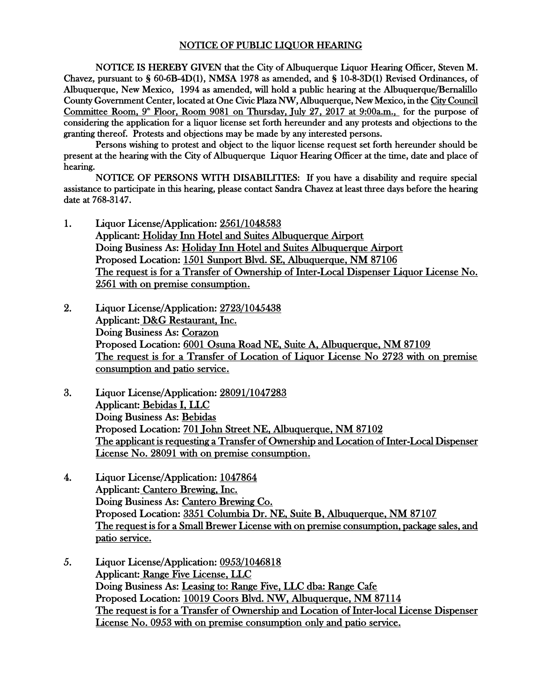## NOTICE OF PUBLIC LIQUOR HEARING

NOTICE IS HEREBY GIVEN that the City of Albuquerque Liquor Hearing Officer, Steven M. Chavez, pursuant to § 60-6B-4D(1), NMSA 1978 as amended, and § 10-8-3D(1) Revised Ordinances, of Albuquerque, New Mexico, 1994 as amended, will hold a public hearing at the Albuquerque/Bernalillo County Government Center, located at One Civic Plaza NW, Albuquerque, New Mexico, in the City Council Committee Room,  $9^{\circ}$  Floor, Room 9081 on Thursday, July 27, 2017 at 9:00a.m., for the purpose of considering the application for a liquor license set forth hereunder and any protests and objections to the granting thereof. Protests and objections may be made by any interested persons.

Persons wishing to protest and object to the liquor license request set forth hereunder should be present at the hearing with the City of Albuquerque Liquor Hearing Officer at the time, date and place of hearing.

NOTICE OF PERSONS WITH DISABILITIES: If you have a disability and require special assistance to participate in this hearing, please contact Sandra Chavez at least three days before the hearing date at 768-3147.

- 1. Liquor License/Application: 2561/1048583 Applicant: Holiday Inn Hotel and Suites Albuquerque Airport Doing Business As: Holiday Inn Hotel and Suites Albuquerque Airport Proposed Location: 1501 Sunport Blvd. SE, Albuquerque, NM 87106 The request is for a Transfer of Ownership of Inter-Local Dispenser Liquor License No. 2561 with on premise consumption.
- 2. Liquor License/Application: 2723/1045438 Applicant: D&G Restaurant, Inc. Doing Business As: Corazon Proposed Location: 6001 Osuna Road NE, Suite A, Albuquerque, NM 87109 The request is for a Transfer of Location of Liquor License No 2723 with on premise consumption and patio service.
- 3. Liquor License/Application: 28091/1047283 Applicant: Bebidas I, LLC Doing Business As: Bebidas Proposed Location: 701 John Street NE, Albuquerque, NM 87102 The applicant is requesting a Transfer of Ownership and Location of Inter-Local Dispenser License No. 28091 with on premise consumption.
- 4. Liquor License/Application: 1047864 Applicant: Cantero Brewing, Inc. Doing Business As: Cantero Brewing Co. Proposed Location: 3351 Columbia Dr. NE, Suite B, Albuquerque, NM 87107 The request is for a Small Brewer License with on premise consumption, package sales, and patio service.
- 5. Liquor License/Application: 0953/1046818 Applicant: Range Five License, LLC Doing Business As: Leasing to: Range Five, LLC dba: Range Cafe Proposed Location: 10019 Coors Blvd. NW, Albuquerque, NM 87114 The request is for a Transfer of Ownership and Location of Inter-local License Dispenser License No. 0953 with on premise consumption only and patio service.